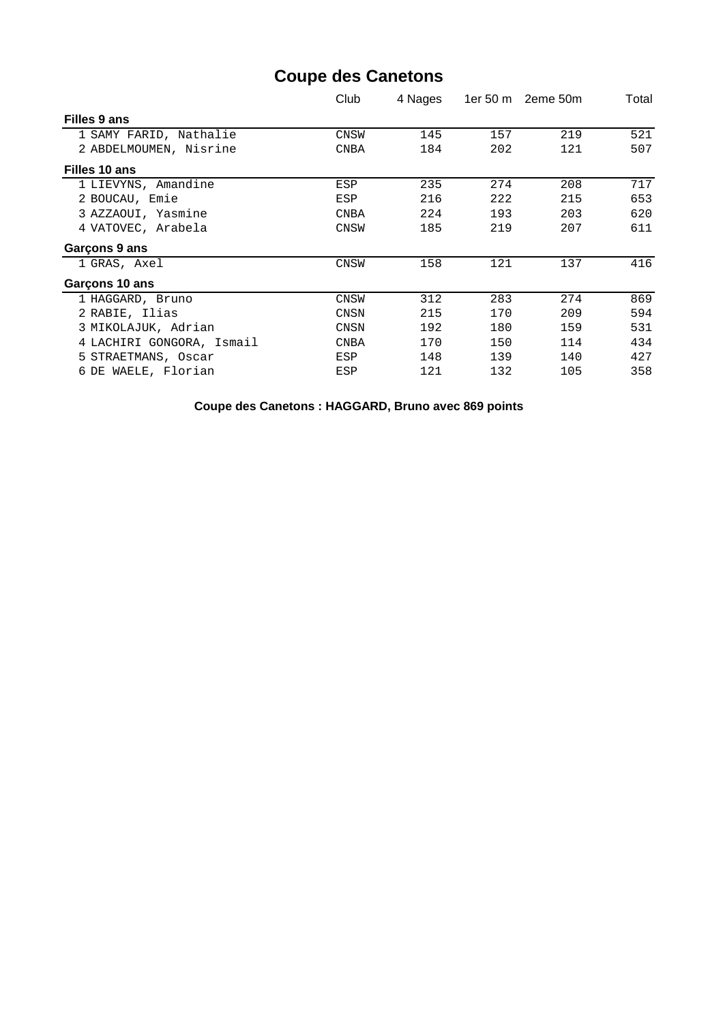## **Coupe des Canetons**

|                           | Club        | 4 Nages | 1er 50 m | 2eme 50m | Total |  |
|---------------------------|-------------|---------|----------|----------|-------|--|
| Filles 9 ans              |             |         |          |          |       |  |
| 1 SAMY FARID, Nathalie    | CNSW        | 145     | 157      | 219      | 521   |  |
| 2 ABDELMOUMEN, Nisrine    | CNBA        | 184     | 202      | 121      | 507   |  |
| Filles 10 ans             |             |         |          |          |       |  |
| 1 LIEVYNS, Amandine       | ESP         | 235     | 274      | 208      | 717   |  |
| 2 BOUCAU, Emie            | ESP         | 216     | 222      | 215      | 653   |  |
| 3 AZZAOUI, Yasmine        | <b>CNBA</b> | 224     | 193      | 203      | 620   |  |
| 4 VATOVEC, Arabela        | <b>CNSW</b> | 185     | 219      | 207      | 611   |  |
| Garçons 9 ans             |             |         |          |          |       |  |
| 1 GRAS, Axel              | CNSW        | 158     | 121      | 137      | 416   |  |
| Garçons 10 ans            |             |         |          |          |       |  |
| 1 HAGGARD, Bruno          | <b>CNSW</b> | 312     | 283      | 274      | 869   |  |
| 2 RABIE, Ilias            | CNSN        | 215     | 170      | 209      | 594   |  |
| 3 MIKOLAJUK, Adrian       | <b>CNSN</b> | 192     | 180      | 159      | 531   |  |
| 4 LACHIRI GONGORA, Ismail | <b>CNBA</b> | 170     | 150      | 114      | 434   |  |
| 5 STRAETMANS, Oscar       | ESP         | 148     | 139      | 140      | 427   |  |
| 6 DE WAELE, Florian       | ESP         | 121     | 132      | 105      | 358   |  |

**Coupe des Canetons : HAGGARD, Bruno avec 869 points**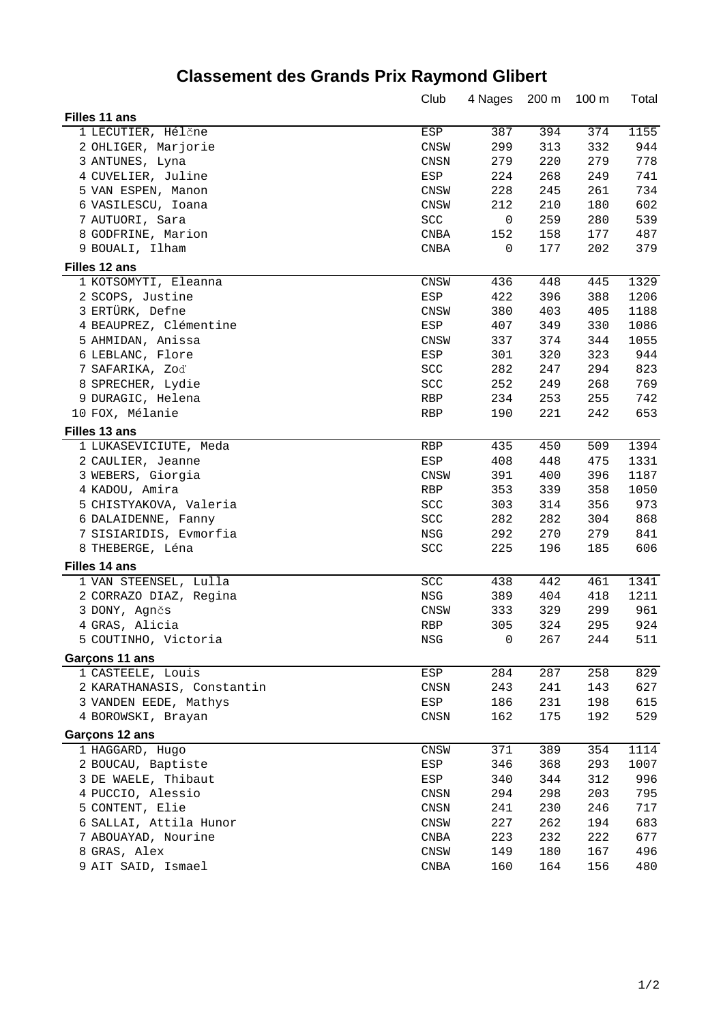# **Classement des Grands Prix Raymond Glibert**

|                            | Club                 | 4 Nages | 200 m | $100 \text{ m}$ | Total |
|----------------------------|----------------------|---------|-------|-----------------|-------|
| Filles 11 ans              |                      |         |       |                 |       |
| 1 LECUTIER, Hélčne         | ESP                  | 387     | 394   | 374             | 1155  |
| 2 OHLIGER, Marjorie        | CNSW                 | 299     | 313   | 332             | 944   |
| 3 ANTUNES, Lyna            | CNSN                 | 279     | 220   | 279             | 778   |
| 4 CUVELIER, Juline         | ESP                  | 224     | 268   | 249             | 741   |
| 5 VAN ESPEN, Manon         | <b>CNSW</b>          | 228     | 245   | 261             | 734   |
| 6 VASILESCU, Ioana         | <b>CNSW</b>          | 212     | 210   | 180             | 602   |
| 7 AUTUORI, Sara            | SCC                  | 0       | 259   | 280             | 539   |
| 8 GODFRINE, Marion         | <b>CNBA</b>          | 152     | 158   | 177             | 487   |
| 9 BOUALI, Ilham            | <b>CNBA</b>          | 0       | 177   | 202             | 379   |
| Filles 12 ans              |                      |         |       |                 |       |
| 1 KOTSOMYTI, Eleanna       | CNSW                 | 436     | 448   | 445             | 1329  |
| 2 SCOPS, Justine           | $_{\rm ESP}$         | 422     | 396   | 388             | 1206  |
| 3 ERTÜRK, Defne            | CNSW                 | 380     | 403   | 405             | 1188  |
| 4 BEAUPREZ, Clémentine     | ESP                  | 407     | 349   | 330             | 1086  |
| 5 AHMIDAN, Anissa          | CNSW                 | 337     | 374   | 344             | 1055  |
| 6 LEBLANC, Flore           | ESP                  | 301     | 320   | 323             | 944   |
| 7 SAFARIKA, Zoď            | $\operatorname{SCC}$ | 282     | 247   | 294             | 823   |
| 8 SPRECHER, Lydie          | $\operatorname{SCC}$ | 252     | 249   | 268             | 769   |
| 9 DURAGIC, Helena          | RBP                  | 234     | 253   | 255             | 742   |
| 10 FOX, Mélanie            | RBP                  | 190     | 221   | 242             | 653   |
| Filles 13 ans              |                      |         |       |                 |       |
| 1 LUKASEVICIUTE, Meda      | RBP                  | 435     | 450   | 509             | 1394  |
| 2 CAULIER, Jeanne          | ESP                  | 408     | 448   | 475             | 1331  |
| 3 WEBERS, Giorgia          | <b>CNSW</b>          | 391     | 400   | 396             | 1187  |
| 4 KADOU, Amira             | RBP                  | 353     | 339   | 358             | 1050  |
| 5 CHISTYAKOVA, Valeria     | SCC                  | 303     | 314   | 356             | 973   |
| 6 DALAIDENNE, Fanny        | SCC                  | 282     | 282   | 304             | 868   |
| 7 SISIARIDIS, Evmorfia     | NSG                  | 292     | 270   | 279             | 841   |
| 8 THEBERGE, Léna           | SCC                  | 225     | 196   | 185             | 606   |
| Filles 14 ans              |                      |         |       |                 |       |
| 1 VAN STEENSEL, Lulla      | SCC                  | 438     | 442   | 461             | 1341  |
| 2 CORRAZO DIAZ, Regina     | $_{\rm NSG}$         | 389     | 404   | 418             | 1211  |
| 3 DONY, Agnčs              | CNSW                 | 333     | 329   | 299             | 961   |
| 4 GRAS, Alicia             | <b>RBP</b>           | 305     | 324   | 295             | 924   |
| 5 COUTINHO, Victoria       | NSG                  | $\cup$  | 267   | 244             | 511   |
| Garçons 11 ans             |                      |         |       |                 |       |
| 1 CASTEELE, Louis          | ESP                  | 284     | 287   | 258             | 829   |
| 2 KARATHANASIS, Constantin | CNSN                 | 243     | 241   | 143             | 627   |
| 3 VANDEN EEDE, Mathys      | $_{\rm ESP}$         | 186     | 231   | 198             | 615   |
| 4 BOROWSKI, Brayan         | CNSN                 | 162     | 175   | 192             | 529   |
| Garçons 12 ans             |                      |         |       |                 |       |
| 1 HAGGARD, Hugo            | CNSW                 | 371     | 389   | 354             | 1114  |
| 2 BOUCAU, Baptiste         | ESP                  | 346     | 368   | 293             | 1007  |
| 3 DE WAELE, Thibaut        | ESP                  | 340     | 344   | 312             | 996   |
| 4 PUCCIO, Alessio          | CNSN                 | 294     | 298   | 203             | 795   |
| 5 CONTENT, Elie            | CNSN                 | 241     | 230   | 246             | 717   |
| 6 SALLAI, Attila Hunor     | CNSW                 | 227     | 262   | 194             | 683   |
| 7 ABOUAYAD, Nourine        | CNBA                 | 223     | 232   | 222             | 677   |
| 8 GRAS, Alex               | CNSW                 | 149     | 180   | 167             | 496   |
| 9 AIT SAID, Ismael         | $\rm CNBA$           | 160     | 164   | 156             | 480   |
|                            |                      |         |       |                 |       |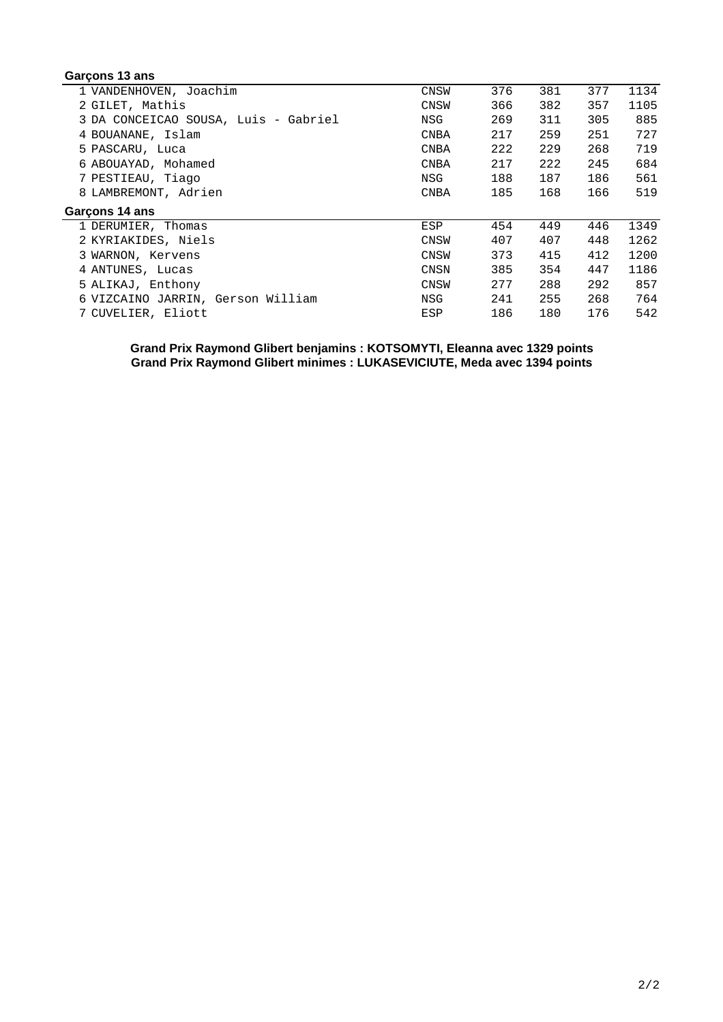### **Garçons 13 ans**

| <b>CNSW</b> | 376 | 381         | 377 | 1134 |
|-------------|-----|-------------|-----|------|
| <b>CNSW</b> | 366 | 382         | 357 | 1105 |
| NSG         | 269 | 311         | 305 | 885  |
| CNBA        | 217 | 259         | 251 | 727  |
| <b>CNBA</b> | 222 | 229         | 268 | 719  |
| <b>CNBA</b> | 217 | 222         | 245 | 684  |
| NSG         | 188 | 187         | 186 | 561  |
| <b>CNBA</b> | 185 | 168         | 166 | 519  |
|             |     |             |     |      |
| ESP         | 454 | 449         | 446 | 1349 |
| <b>CNSW</b> | 407 | 407         | 448 | 1262 |
| CNSW        | 373 | 415         | 412 | 1200 |
| CNSN        | 385 | 354         | 447 | 1186 |
|             |     | 288         | 292 | 857  |
|             |     |             |     |      |
| NSG         | 241 | 255         | 268 | 764  |
|             |     | 277<br>CNSW |     |      |

#### **Grand Prix Raymond Glibert benjamins : KOTSOMYTI, Eleanna avec 1329 points Grand Prix Raymond Glibert minimes : LUKASEVICIUTE, Meda avec 1394 points**